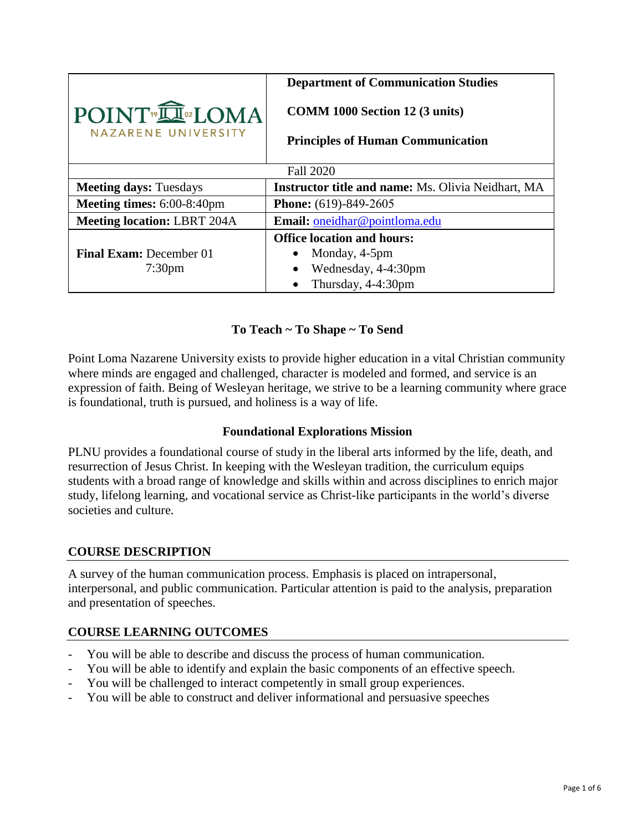|                                                | <b>Department of Communication Studies</b>                                        |
|------------------------------------------------|-----------------------------------------------------------------------------------|
| POINT <sup>®</sup> IOMA<br>NAZARENE UNIVERSITY | <b>COMM 1000 Section 12 (3 units)</b><br><b>Principles of Human Communication</b> |
|                                                | <b>Fall 2020</b>                                                                  |
|                                                |                                                                                   |
| <b>Meeting days: Tuesdays</b>                  | <b>Instructor title and name:</b> Ms. Olivia Neidhart, MA                         |
| Meeting times: 6:00-8:40pm                     | <b>Phone:</b> (619)-849-2605                                                      |
| <b>Meeting location: LBRT 204A</b>             | Email: oneidhar@pointloma.edu                                                     |
|                                                | <b>Office location and hours:</b>                                                 |
| <b>Final Exam: December 01</b>                 | Monday, 4-5pm                                                                     |
| 7:30 <sub>pm</sub>                             | Wednesday, 4-4:30pm                                                               |
|                                                | Thursday, 4-4:30pm                                                                |

### **To Teach ~ To Shape ~ To Send**

Point Loma Nazarene University exists to provide higher education in a vital Christian community where minds are engaged and challenged, character is modeled and formed, and service is an expression of faith. Being of Wesleyan heritage, we strive to be a learning community where grace is foundational, truth is pursued, and holiness is a way of life.

#### **Foundational Explorations Mission**

PLNU provides a foundational course of study in the liberal arts informed by the life, death, and resurrection of Jesus Christ. In keeping with the Wesleyan tradition, the curriculum equips students with a broad range of knowledge and skills within and across disciplines to enrich major study, lifelong learning, and vocational service as Christ-like participants in the world's diverse societies and culture.

#### **COURSE DESCRIPTION**

A survey of the human communication process. Emphasis is placed on intrapersonal, interpersonal, and public communication. Particular attention is paid to the analysis, preparation and presentation of speeches.

# **COURSE LEARNING OUTCOMES**

- You will be able to describe and discuss the process of human communication.
- You will be able to identify and explain the basic components of an effective speech.
- You will be challenged to interact competently in small group experiences.
- You will be able to construct and deliver informational and persuasive speeches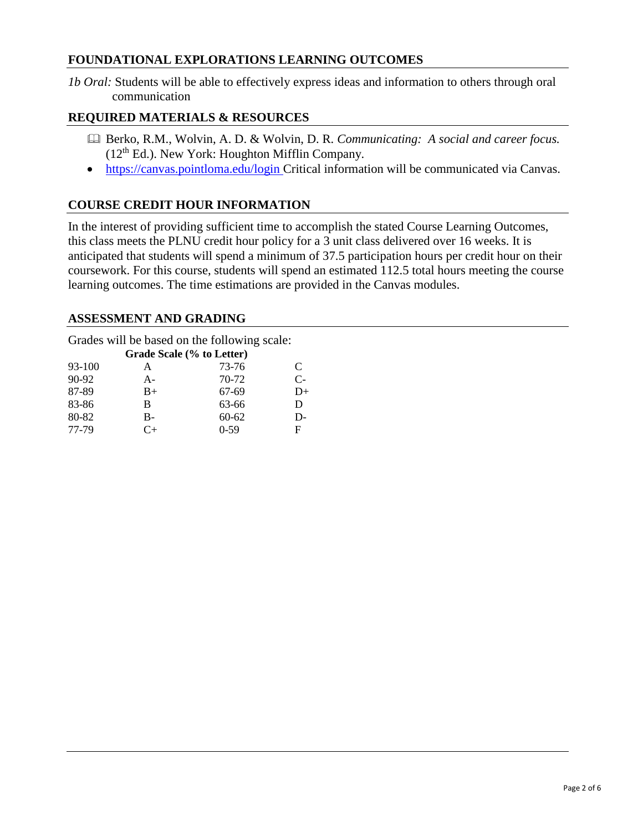#### **FOUNDATIONAL EXPLORATIONS LEARNING OUTCOMES**

*1b Oral:* Students will be able to effectively express ideas and information to others through oral communication

#### **REQUIRED MATERIALS & RESOURCES**

- Berko, R.M., Wolvin, A. D. & Wolvin, D. R. *Communicating: A social and career focus.*  $(12<sup>th</sup> Ed.)$ . New York: Houghton Mifflin Company.
- https://canvas.pointloma.edu/login Critical information will be communicated via Canvas.

### **COURSE CREDIT HOUR INFORMATION**

In the interest of providing sufficient time to accomplish the stated Course Learning Outcomes, this class meets the PLNU credit hour policy for a 3 unit class delivered over 16 weeks. It is anticipated that students will spend a minimum of 37.5 participation hours per credit hour on their coursework. For this course, students will spend an estimated 112.5 total hours meeting the course learning outcomes. The time estimations are provided in the Canvas modules.

#### **ASSESSMENT AND GRADING**

Grades will be based on the following scale:

| Grade Scale (% to Letter) |       |          |      |  |
|---------------------------|-------|----------|------|--|
| 93-100                    | А     | 73-76    | C    |  |
| $90-92$                   | $A -$ | 70-72    | $C-$ |  |
| 87-89                     | $B+$  | 67-69    | D+   |  |
| 83-86                     | В     | 63-66    | D    |  |
| 80-82                     | В-    | 60-62    | D-   |  |
| 77-79                     | $^+$  | $0 - 59$ | F    |  |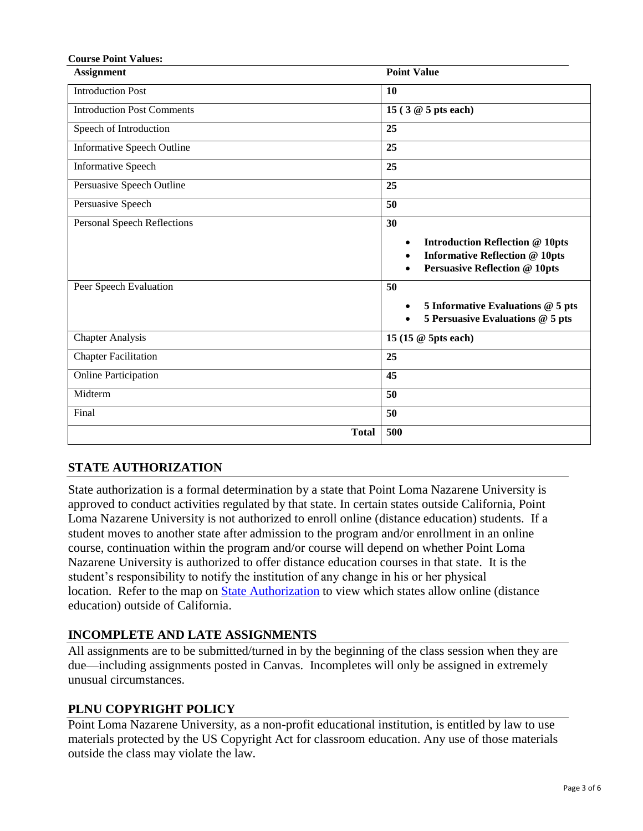| <b>Course Point Values:</b>        |                                                                                                                                                         |
|------------------------------------|---------------------------------------------------------------------------------------------------------------------------------------------------------|
| <b>Assignment</b>                  | <b>Point Value</b>                                                                                                                                      |
| <b>Introduction Post</b>           | 10                                                                                                                                                      |
| <b>Introduction Post Comments</b>  | 15 (3 @ 5 pts each)                                                                                                                                     |
| Speech of Introduction             | 25                                                                                                                                                      |
| Informative Speech Outline         | 25                                                                                                                                                      |
| <b>Informative Speech</b>          | 25                                                                                                                                                      |
| Persuasive Speech Outline          | 25                                                                                                                                                      |
| Persuasive Speech                  | 50                                                                                                                                                      |
| <b>Personal Speech Reflections</b> | 30<br><b>Introduction Reflection @ 10pts</b><br>$\bullet$<br><b>Informative Reflection @ 10pts</b><br>$\bullet$<br><b>Persuasive Reflection @ 10pts</b> |
| Peer Speech Evaluation             | 50<br>5 Informative Evaluations @ 5 pts<br>$\bullet$<br>5 Persuasive Evaluations @ 5 pts<br>$\bullet$                                                   |
| <b>Chapter Analysis</b>            | 15 (15 @ 5pts each)                                                                                                                                     |
| <b>Chapter Facilitation</b>        | 25                                                                                                                                                      |
| <b>Online Participation</b>        | 45                                                                                                                                                      |
| Midterm                            | 50                                                                                                                                                      |
| Final                              | 50                                                                                                                                                      |
| <b>Total</b>                       | 500                                                                                                                                                     |

# **STATE AUTHORIZATION**

State authorization is a formal determination by a state that Point Loma Nazarene University is approved to conduct activities regulated by that state. In certain states outside California, Point Loma Nazarene University is not authorized to enroll online (distance education) students. If a student moves to another state after admission to the program and/or enrollment in an online course, continuation within the program and/or course will depend on whether Point Loma Nazarene University is authorized to offer distance education courses in that state. It is the student's responsibility to notify the institution of any change in his or her physical location. Refer to the map on [State Authorization](https://www.pointloma.edu/offices/office-institutional-effectiveness-research/disclosures) to view which states allow online (distance education) outside of California.

# **INCOMPLETE AND LATE ASSIGNMENTS**

All assignments are to be submitted/turned in by the beginning of the class session when they are due—including assignments posted in Canvas. Incompletes will only be assigned in extremely unusual circumstances.

#### **PLNU COPYRIGHT POLICY**

Point Loma Nazarene University, as a non-profit educational institution, is entitled by law to use materials protected by the US Copyright Act for classroom education. Any use of those materials outside the class may violate the law.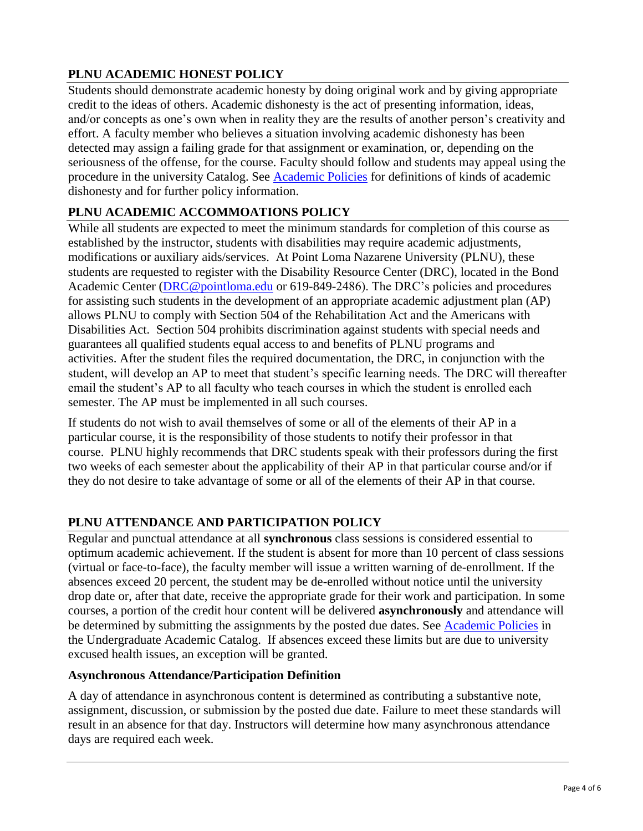# **PLNU ACADEMIC HONEST POLICY**

Students should demonstrate academic honesty by doing original work and by giving appropriate credit to the ideas of others. Academic dishonesty is the act of presenting information, ideas, and/or concepts as one's own when in reality they are the results of another person's creativity and effort. A faculty member who believes a situation involving academic dishonesty has been detected may assign a failing grade for that assignment or examination, or, depending on the seriousness of the offense, for the course. Faculty should follow and students may appeal using the procedure in the university Catalog. See [Academic Policies](https://catalog.pointloma.edu/content.php?catoid=41&navoid=2435#Academic_Honesty) for definitions of kinds of academic dishonesty and for further policy information.

# **PLNU ACADEMIC ACCOMMOATIONS POLICY**

While all students are expected to meet the minimum standards for completion of this course as established by the instructor, students with disabilities may require academic adjustments, modifications or auxiliary aids/services. At Point Loma Nazarene University (PLNU), these students are requested to register with the Disability Resource Center (DRC), located in the Bond Academic Center [\(DRC@pointloma.edu](mailto:DRC@pointloma.edu) or 619-849-2486). The DRC's policies and procedures for assisting such students in the development of an appropriate academic adjustment plan (AP) allows PLNU to comply with Section 504 of the Rehabilitation Act and the Americans with Disabilities Act. Section 504 prohibits discrimination against students with special needs and guarantees all qualified students equal access to and benefits of PLNU programs and activities. After the student files the required documentation, the DRC, in conjunction with the student, will develop an AP to meet that student's specific learning needs. The DRC will thereafter email the student's AP to all faculty who teach courses in which the student is enrolled each semester. The AP must be implemented in all such courses.

If students do not wish to avail themselves of some or all of the elements of their AP in a particular course, it is the responsibility of those students to notify their professor in that course. PLNU highly recommends that DRC students speak with their professors during the first two weeks of each semester about the applicability of their AP in that particular course and/or if they do not desire to take advantage of some or all of the elements of their AP in that course.

# **PLNU ATTENDANCE AND PARTICIPATION POLICY**

Regular and punctual attendance at all **synchronous** class sessions is considered essential to optimum academic achievement. If the student is absent for more than 10 percent of class sessions (virtual or face-to-face), the faculty member will issue a written warning of de-enrollment. If the absences exceed 20 percent, the student may be de-enrolled without notice until the university drop date or, after that date, receive the appropriate grade for their work and participation. In some courses, a portion of the credit hour content will be delivered **asynchronously** and attendance will be determined by submitting the assignments by the posted due dates. See [Academic Policies](https://catalog.pointloma.edu/content.php?catoid=46&navoid=2650#Class_Attendance) in the Undergraduate Academic Catalog. If absences exceed these limits but are due to university excused health issues, an exception will be granted.

#### **Asynchronous Attendance/Participation Definition**

A day of attendance in asynchronous content is determined as contributing a substantive note, assignment, discussion, or submission by the posted due date. Failure to meet these standards will result in an absence for that day. Instructors will determine how many asynchronous attendance days are required each week.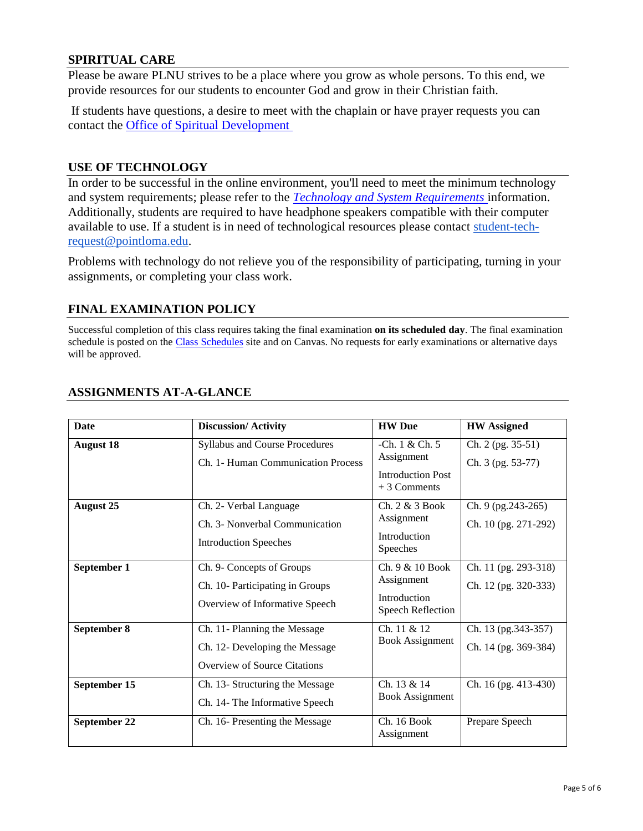#### **SPIRITUAL CARE**

Please be aware PLNU strives to be a place where you grow as whole persons. To this end, we provide resources for our students to encounter God and grow in their Christian faith.

If students have questions, a desire to meet with the chaplain or have prayer requests you can contact the **Office of Spiritual Development** 

#### **USE OF TECHNOLOGY**

In order to be successful in the online environment, you'll need to meet the minimum technology and system requirements; please refer to the *[Technology and System Requirements](https://help.pointloma.edu/TDClient/1808/Portal/KB/ArticleDet?ID=108349)* information. Additionally, students are required to have headphone speakers compatible with their computer available to use. If a student is in need of technological resources please contact [student-tech](mailto:student-tech-request@pointloma.edu)[request@pointloma.edu.](mailto:student-tech-request@pointloma.edu)

Problems with technology do not relieve you of the responsibility of participating, turning in your assignments, or completing your class work.

#### **FINAL EXAMINATION POLICY**

Successful completion of this class requires taking the final examination **on its scheduled day**. The final examination schedule is posted on the [Class Schedules](http://www.pointloma.edu/experience/academics/class-schedules) site and on Canvas. No requests for early examinations or alternative days will be approved.

| <b>Date</b>      | <b>Discussion/Activity</b>                                                                            | <b>HW</b> Due                                                             | <b>HW</b> Assigned                           |
|------------------|-------------------------------------------------------------------------------------------------------|---------------------------------------------------------------------------|----------------------------------------------|
| <b>August 18</b> | Syllabus and Course Procedures<br>Ch. 1- Human Communication Process                                  | -Ch. 1 & Ch. 5<br>Assignment<br><b>Introduction Post</b><br>$+3$ Comments | Ch. 2 (pg. 35-51)<br>Ch. 3 (pg. 53-77)       |
| <b>August 25</b> | Ch. 2- Verbal Language<br>Ch. 3- Nonverbal Communication<br><b>Introduction Speeches</b>              | Ch. 2 & 3 Book<br>Assignment<br>Introduction<br>Speeches                  | Ch. 9 (pg.243-265)<br>Ch. 10 (pg. 271-292)   |
| September 1      | Ch. 9- Concepts of Groups<br>Ch. 10- Participating in Groups<br>Overview of Informative Speech        | Ch. 9 & 10 Book<br>Assignment<br>Introduction<br>Speech Reflection        | Ch. 11 (pg. 293-318)<br>Ch. 12 (pg. 320-333) |
| September 8      | Ch. 11- Planning the Message<br>Ch. 12- Developing the Message<br><b>Overview of Source Citations</b> | Ch. 11 & 12<br><b>Book Assignment</b>                                     | Ch. 13 (pg. 343-357)<br>Ch. 14 (pg. 369-384) |
| September 15     | Ch. 13- Structuring the Message<br>Ch. 14- The Informative Speech                                     | Ch. 13 & 14<br><b>Book Assignment</b>                                     | Ch. 16 (pg. 413-430)                         |
| September 22     | Ch. 16- Presenting the Message                                                                        | Ch. 16 Book<br>Assignment                                                 | Prepare Speech                               |

### **ASSIGNMENTS AT-A-GLANCE**